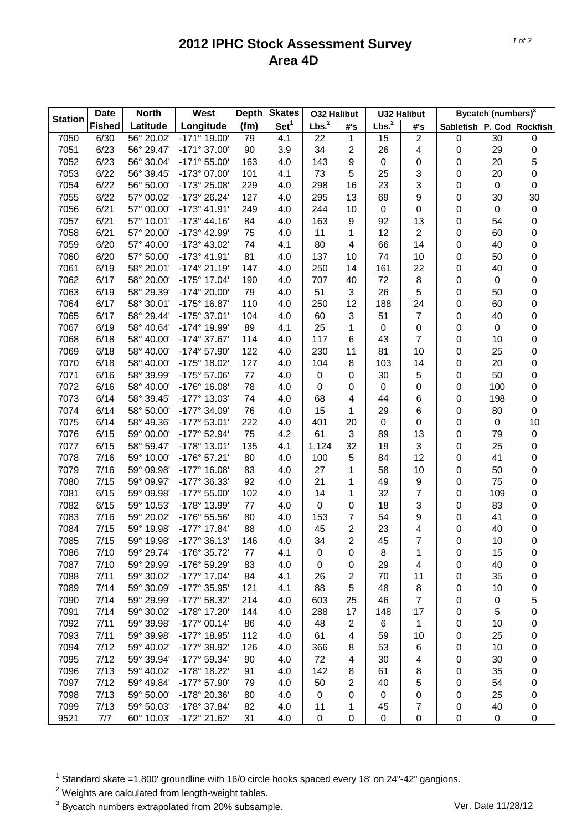## **2012 IPHC Stock Assessment Survey Area 4D**

|                | <b>Date</b>   | <b>North</b> | West                         | <b>Depth</b> | <b>Skates</b>    | <b>O32 Halibut</b> |                  | <b>U32 Halibut</b> |                | Bycatch (numbers) <sup>3</sup> |     |                 |
|----------------|---------------|--------------|------------------------------|--------------|------------------|--------------------|------------------|--------------------|----------------|--------------------------------|-----|-----------------|
| <b>Station</b> | <b>Fished</b> | Latitude     | Longitude                    | (fm)         | Set <sup>1</sup> | Lbs. <sup>2</sup>  | #'s              | Lbs. <sup>2</sup>  | #'s            | <b>Sablefish</b>               |     | P. Cod Rockfish |
| 7050           | 6/30          | 56° 20.02'   | $-171^{\circ}$ 19.00         | 79           | 4.1              | 22                 | $\mathbf{1}$     | 15                 | $\overline{2}$ | 0                              | 30  | 0               |
| 7051           | 6/23          | 56° 29.47'   | -171° 37.00'                 | 90           | 3.9              | 34                 | $\boldsymbol{2}$ | 26                 | 4              | 0                              | 29  | 0               |
| 7052           | 6/23          | 56° 30.04'   | $-171^{\circ} 55.00^{\circ}$ | 163          | 4.0              | 143                | 9                | $\pmb{0}$          | 0              | 0                              | 20  | 5               |
| 7053           | 6/22          | 56° 39.45'   | -173° 07.00'                 | 101          | 4.1              | 73                 | 5                | 25                 | 3              | 0                              | 20  | 0               |
| 7054           | 6/22          | 56° 50.00'   | -173° 25.08'                 | 229          | 4.0              | 298                | 16               | 23                 | 3              | 0                              | 0   | 0               |
| 7055           | 6/22          | 57° 00.02'   | -173° 26.24'                 | 127          | 4.0              | 295                | 13               | 69                 | 9              | 0                              | 30  | 30              |
| 7056           | 6/21          | 57° 00.00'   | -173° 41.91'                 | 249          | 4.0              | 244                | 10               | 0                  | 0              | 0                              | 0   | $\pmb{0}$       |
| 7057           | 6/21          | 57° 10.01'   | $-173^{\circ}$ 44.16         | 84           | 4.0              | 163                | 9                | 92                 | 13             | 0                              | 54  | 0               |
| 7058           | 6/21          | 57° 20.00'   | -173° 42.99'                 | 75           | 4.0              | 11                 | 1                | 12                 | $\overline{2}$ | 0                              | 60  | 0               |
| 7059           | 6/20          | 57° 40.00'   | -173° 43.02'                 | 74           | 4.1              | 80                 | 4                | 66                 | 14             | 0                              | 40  | 0               |
| 7060           | 6/20          | 57° 50.00'   | -173° 41.91'                 | 81           | 4.0              | 137                | 10               | 74                 | 10             | 0                              | 50  | 0               |
| 7061           | 6/19          | 58° 20.01'   | $-174^{\circ}$ 21.19         | 147          | 4.0              | 250                | 14               | 161                | 22             | 0                              | 40  | 0               |
| 7062           | 6/17          | 58° 20.00'   | -175° 17.04'                 | 190          | 4.0              | 707                | 40               | 72                 | 8              | 0                              | 0   | 0               |
| 7063           | 6/19          | 58° 29.39'   | -174° 20.00'                 | 79           | 4.0              | 51                 | 3                | 26                 | 5              | 0                              | 50  | 0               |
| 7064           | 6/17          | 58° 30.01'   | -175° 16.87'                 | 110          | 4.0              | 250                | 12               | 188                | 24             | 0                              | 60  | 0               |
| 7065           | 6/17          | 58° 29.44'   | -175° 37.01'                 | 104          | 4.0              | 60                 | 3                | 51                 | $\overline{7}$ | 0                              | 40  | 0               |
| 7067           | 6/19          | 58° 40.64'   | -174° 19.99'                 | 89           | 4.1              | 25                 | 1                | $\pmb{0}$          | 0              | 0                              | 0   | 0               |
| 7068           | 6/18          | 58° 40.00'   | -174° 37.67'                 | 114          | 4.0              | 117                | 6                | 43                 | 7              | 0                              | 10  | 0               |
| 7069           | 6/18          | 58° 40.00'   | -174° 57.90'                 | 122          | 4.0              | 230                | 11               | 81                 | 10             | 0                              | 25  | 0               |
| 7070           | 6/18          | 58° 40.00'   | -175° 18.02'                 | 127          | 4.0              | 104                | 8                | 103                | 14             | 0                              | 20  | 0               |
| 7071           | 6/16          | 58° 39.99'   | -175° 57.06'                 | 77           | 4.0              | 0                  | 0                | 30                 | 5              | 0                              | 50  | 0               |
| 7072           | 6/16          | 58° 40.00'   | $-176^{\circ}$ 16.08         | 78           | 4.0              | 0                  | 0                | 0                  | 0              | 0                              | 100 | 0               |
| 7073           | 6/14          | 58° 39.45'   | -177° 13.03'                 | 74           | 4.0              | 68                 | 4                | 44                 | 6              | 0                              | 198 | 0               |
| 7074           | 6/14          | 58° 50.00'   | -177° 34.09'                 | 76           | 4.0              | 15                 | 1                | 29                 | 6              | 0                              | 80  | 0               |
| 7075           | 6/14          | 58° 49.36'   | $-177^{\circ} 53.01'$        | 222          | 4.0              | 401                | 20               | 0                  | 0              | 0                              | 0   | 10              |
| 7076           | 6/15          | 59° 00.00'   | -177° 52.94'                 | 75           | 4.2              | 61                 | $\mathbf{3}$     | 89                 | 13             | 0                              | 79  | $\mathbf 0$     |
| 7077           | 6/15          | 58° 59.47'   | -178° 13.01'                 | 135          | 4.1              | 1,124              | 32               | 19                 | 3              | 0                              | 25  | 0               |
| 7078           | 7/16          | 59° 10.00'   | -176° 57.21'                 | 80           | 4.0              | 100                | 5                | 84                 | 12             | 0                              | 41  | 0               |
| 7079           | 7/16          | 59° 09.98'   | $-177^{\circ}$ 16.08         | 83           | 4.0              | 27                 | 1                | 58                 | 10             | 0                              | 50  | 0               |
| 7080           | 7/15          | 59° 09.97'   | -177° 36.33'                 | 92           | 4.0              | 21                 | 1                | 49                 | 9              | 0                              | 75  | 0               |
| 7081           | 6/15          | 59° 09.98'   | -177° 55.00'                 | 102          | 4.0              | 14                 | 1                | 32                 | 7              | 0                              | 109 | 0               |
| 7082           | 6/15          | 59° 10.53'   | -178° 13.99'                 | 77           | 4.0              | 0                  | 0                | 18                 | 3              | 0                              | 83  | 0               |
| 7083           | 7/16          | 59° 20.02'   | -176° 55.56'                 | 80           | 4.0              | 153                | $\overline{7}$   | 54                 | 9              | 0                              | 41  | 0               |
| 7084           | 7/15          | 59° 19.98'   | -177° 17.84'                 | 88           | 4.0              | 45                 | $\boldsymbol{2}$ | 23                 | 4              | 0                              | 40  | 0               |
| 7085           | 7/15          | 59° 19.98'   | $-177°36.13'$                | 146          | 4.0              | 34                 | $\overline{2}$   | 45                 | 7              | 0                              | 10  | 0               |
| 7086           | 7/10          | 59° 29.74'   | -176° 35.72'                 | 77           | 4.1              | 0                  | 0                | 8                  | 1              | $\mathbf 0$                    | 15  | 0               |
| 7087           | 7/10          | 59° 29.99'   | -176° 59.29'                 | 83           | 4.0              | 0                  | 0                | 29                 | 4              | 0                              | 40  | 0               |
| 7088           | 7/11          | 59° 30.02'   | -177° 17.04'                 | 84           | 4.1              | 26                 | 2                | 70                 | 11             | 0                              | 35  | 0               |
| 7089           | 7/14          | 59° 30.09'   | -177° 35.95'                 | 121          | 4.1              | 88                 | 5                | 48                 | 8              | 0                              | 10  | 0               |
| 7090           | 7/14          | 59° 29.99'   | -177° 58.32'                 | 214          | 4.0              | 603                | 25               | 46                 | 7              | 0                              | 0   | 5               |
| 7091           | 7/14          | 59° 30.02'   | -178° 17.20'                 | 144          | 4.0              | 288                | 17               | 148                | 17             | 0                              | 5   | 0               |
| 7092           | 7/11          | 59° 39.98'   | $-177^{\circ}$ 00.14'        | 86           | 4.0              | 48                 | $\overline{2}$   | 6                  | 1              | 0                              | 10  | 0               |
| 7093           | 7/11          | 59° 39.98'   | -177° 18.95'                 | 112          | 4.0              | 61                 | 4                | 59                 | 10             | 0                              | 25  | 0               |
| 7094           | 7/12          | 59° 40.02'   | -177° 38.92'                 | 126          | 4.0              | 366                | 8                | 53                 | 6              | 0                              | 10  | 0               |
| 7095           | 7/12          | 59° 39.94'   | -177° 59.34'                 | 90           | 4.0              | 72                 | 4                | 30                 | 4              | 0                              | 30  | 0               |
| 7096           | 7/13          | 59° 40.02'   | -178° 18.22'                 | 91           | 4.0              | 142                | 8                | 61                 | 8              | 0                              | 35  | 0               |
| 7097           | 7/12          | 59° 49.84'   | -177° 57.90'                 | 79           | 4.0              | 50                 | $\overline{2}$   | 40                 | 5              | 0                              | 54  | 0               |
| 7098           | 7/13          | 59° 50.00'   | -178° 20.36'                 | 80           | 4.0              | 0                  | 0                | 0                  | 0              | 0                              | 25  | 0               |
| 7099           | 7/13          | 59° 50.03'   | -178° 37.84'                 | 82           | 4.0              | 11                 | 1                | 45                 | 7              | 0                              | 40  | 0               |
| 9521           | 7/7           | 60° 10.03'   | -172° 21.62'                 | 31           | 4.0              | 0                  | 0                | 0                  | 0              | 0                              | 0   | 0               |

 $1$  Standard skate =1,800' groundline with 16/0 circle hooks spaced every 18' on 24"-42" gangions.

 $2$  Weights are calculated from length-weight tables.

<sup>3</sup> Bycatch numbers extrapolated from 20% subsample. Ver. Date 11/28/12